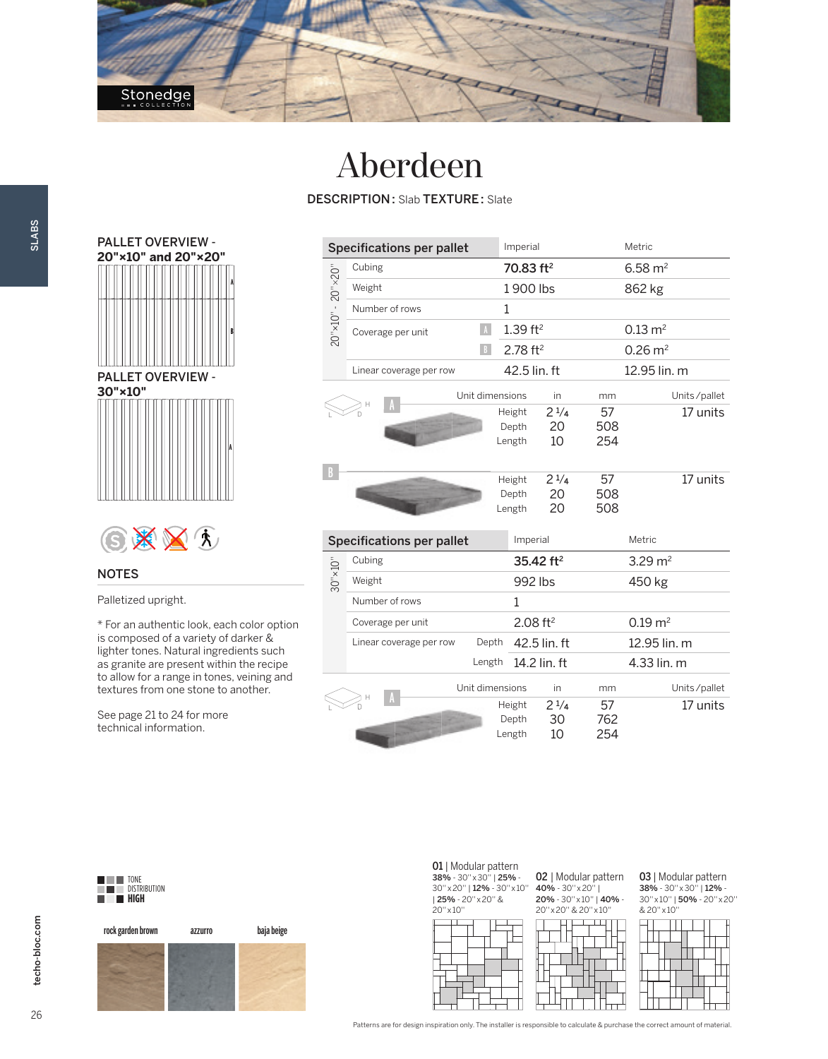

### Aberdeen

DESCRIPTION : Slab TEXTURE : Slate



# GXXI

### NOTES

SLABS

Palletized upright.

\* For an authentic look, each color option is composed of a variety of darker & lighter tones. Natural ingredients such as granite are present within the recipe to allow for a range in tones, veining and textures from one stone to another.

See page 21 to 24 for more technical information.

| <b>Specifications per pallet</b>      |                                            |   | Imperial                  |                        |  |                    | Metric               |              |
|---------------------------------------|--------------------------------------------|---|---------------------------|------------------------|--|--------------------|----------------------|--------------|
| $20'' \times 10'' - 20'' \times 20''$ | Cubing                                     |   | 70.83 ft <sup>2</sup>     |                        |  | $6.58 \text{ m}^2$ |                      |              |
|                                       | Weight                                     |   | 1900 lbs                  |                        |  |                    | 862 kg               |              |
|                                       | Number of rows                             | 1 |                           |                        |  |                    |                      |              |
|                                       | $\Lambda$<br>Coverage per unit             |   | $1.39$ ft <sup>2</sup>    |                        |  |                    | $0.13 \, \text{m}^2$ |              |
|                                       | B                                          |   | $2.78$ ft <sup>2</sup>    |                        |  |                    | $0.26 \text{ m}^2$   |              |
|                                       | Linear coverage per row                    |   |                           | 42.5 lin. ft           |  |                    | 12.95 lin. m         |              |
|                                       | Unit dimensions                            |   |                           | in                     |  | mm                 |                      | Units/pallet |
|                                       |                                            |   | Height<br>Depth<br>Length | $2^{1/4}$<br>20<br>10  |  | 57<br>508<br>254   |                      | 17 units     |
| B                                     |                                            |   | Height<br>Depth<br>Length | $2^{1/4}$<br>20<br>20  |  | 57<br>508<br>508   |                      | 17 units     |
|                                       | <b>Specifications per pallet</b>           |   | Imperial                  |                        |  |                    | Metric               |              |
|                                       | Cubing                                     |   | 35.42 ft <sup>2</sup>     |                        |  | $3.29 \text{ m}^2$ |                      |              |
| $30" \times 10"$                      | Weight                                     |   | 992 lbs                   |                        |  | 450 kg             |                      |              |
|                                       | Number of rows                             |   | 1                         |                        |  |                    |                      |              |
|                                       | Coverage per unit                          |   |                           | $2.08$ ft <sup>2</sup> |  |                    | $0.19 \, \text{m}^2$ |              |
|                                       | Depth<br>Linear coverage per row<br>Length |   | 42.5 lin. ft              |                        |  | 12.95 lin. m       |                      |              |
|                                       |                                            |   | 14.2 lin. ft              |                        |  |                    | 4.33 lin. m          |              |
|                                       | Unit dimensions                            |   |                           | in                     |  | mm                 |                      | Units/pallet |
|                                       |                                            |   | Height<br>Depth<br>Length | $2^{1/4}$<br>30<br>10  |  | 57<br>762<br>254   |                      | 17 units     |



rock garden brown azzurro baja beige

01 | Modular pattern 38% - 30'' x 30'' | 25% - 30'' x 20'' | 12% - 30'' x 10'' | 25% - 20'' x 20'' & 20'' x 10''



02 | Modular pattern 40% - 30'' x 20'' | 20% - 30'' x 10'' | 40% - 20'' x 20'' & 20'' x 10''



**03** | Modular pattern<br>**38%** - 30″×30″ | **12%** -30'' x 10'' | 50% - 20'' x 20'' & 20'' x 10''